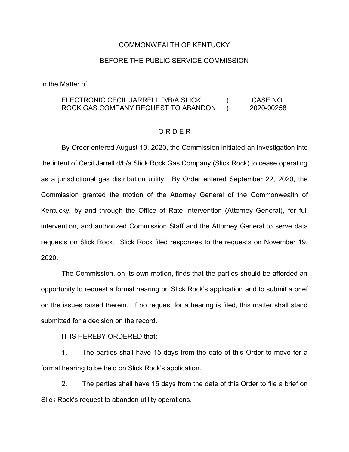### COMMONWEALTH OF KENTUCKY

## BEFORE THE PUBLIC SERVICE COMMISSION

In the Matter of:

#### ELECTRONIC CECIL JARRELL D/B/A SLICK ROCK GAS COMPANY REQUEST TO ABANDON )  $\overline{)}$ CASE NO. 2020-00258

### O R D E R

By Order entered August 13, 2020, the Commission initiated an investigation into the intent of Cecil Jarrell d/b/a Slick Rock Gas Company (Slick Rock) to cease operating as a jurisdictional gas distribution utility. By Order entered September 22, 2020, the Commission granted the motion of the Attorney General of the Commonwealth of Kentucky, by and through the Office of Rate Intervention (Attorney General), for full intervention, and authorized Commission Staff and the Attorney General to serve data requests on Slick Rock. Slick Rock filed responses to the requests on November 19, 2020.

The Commission, on its own motion, finds that the parties should be afforded an opportunity to request a formal hearing on Slick Rock's application and to submit a brief on the issues raised therein. If no request for a hearing is filed, this matter shall stand submitted for a decision on the record.

IT IS HEREBY ORDERED that:

1. The parties shall have 15 days from the date of this Order to move for a formal hearing to be held on Slick Rock's application.

2. The parties shall have 15 days from the date of this Order to file a brief on Slick Rock's request to abandon utility operations.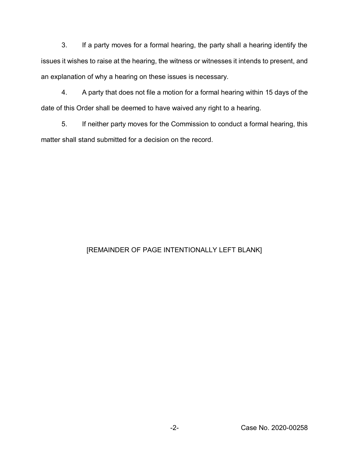3. If a party moves for a formal hearing, the party shall a hearing identify the issues it wishes to raise at the hearing, the witness or witnesses it intends to present, and an explanation of why a hearing on these issues is necessary.

4. A party that does not file a motion for a formal hearing within 15 days of the date of this Order shall be deemed to have waived any right to a hearing.

5. If neither party moves for the Commission to conduct a formal hearing, this matter shall stand submitted for a decision on the record.

# [REMAINDER OF PAGE INTENTIONALLY LEFT BLANK]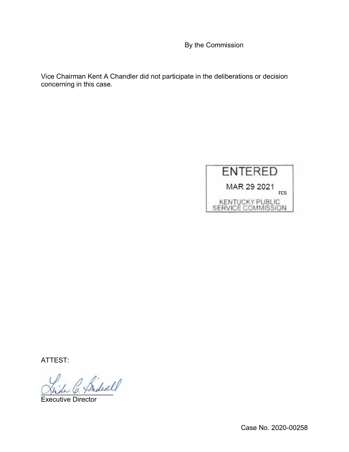By the Commission

Vice Chairman Kent A Chandler did not participate in the deliberations or decision concerning in this case.



ATTEST:

\_\_\_\_\_\_\_\_\_\_\_\_\_\_\_\_\_\_\_

Executive Director

Case No. 2020-00258